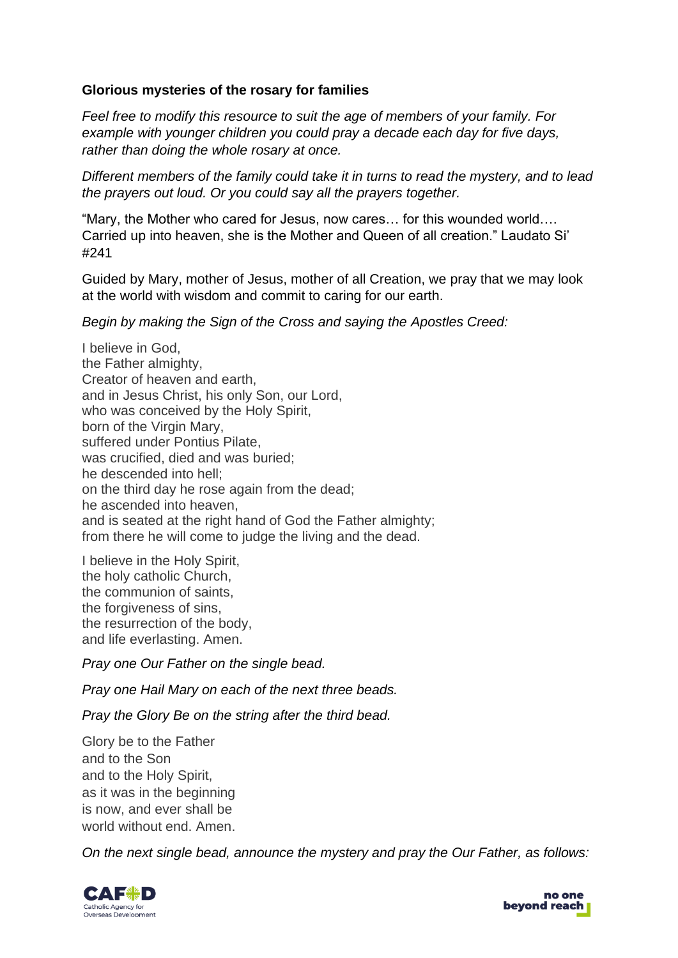### **Glorious mysteries of the rosary for families**

*Feel free to modify this resource to suit the age of members of your family. For example with younger children you could pray a decade each day for five days, rather than doing the whole rosary at once.*

*Different members of the family could take it in turns to read the mystery, and to lead the prayers out loud. Or you could say all the prayers together.* 

"Mary, the Mother who cared for Jesus, now cares… for this wounded world…. Carried up into heaven, she is the Mother and Queen of all creation." Laudato Si' #241

Guided by Mary, mother of Jesus, mother of all Creation, we pray that we may look at the world with wisdom and commit to caring for our earth.

*Begin by making the Sign of the Cross and saying the Apostles Creed:*

I believe in God, the Father almighty, Creator of heaven and earth, and in Jesus Christ, his only Son, our Lord, who was conceived by the Holy Spirit, born of the Virgin Mary, suffered under Pontius Pilate, was crucified, died and was buried; he descended into hell; on the third day he rose again from the dead; he ascended into heaven, and is seated at the right hand of God the Father almighty; from there he will come to judge the living and the dead.

I believe in the Holy Spirit, the holy catholic Church, the communion of saints, the forgiveness of sins, the resurrection of the body, and life everlasting. Amen.

*Pray one Our Father on the single bead.*

*Pray one Hail Mary on each of the next three beads.*

*Pray the Glory Be on the string after the third bead.*

Glory be to the Father and to the Son and to the Holy Spirit, as it was in the beginning is now, and ever shall be world without end. Amen.

*On the next single bead, announce the mystery and pray the Our Father, as follows:*



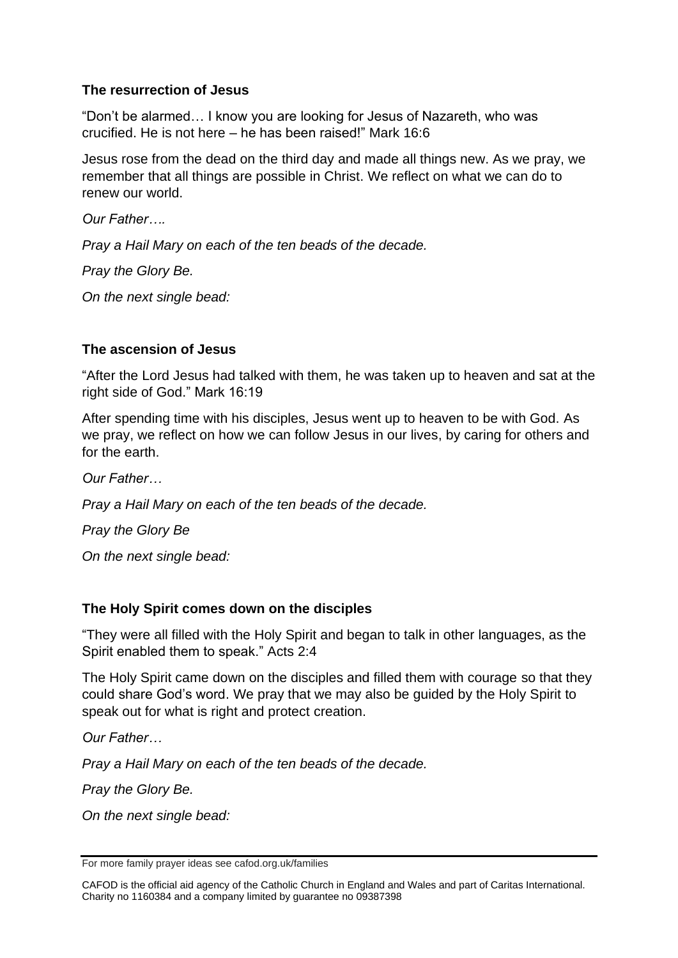## **The resurrection of Jesus**

"Don't be alarmed… I know you are looking for Jesus of Nazareth, who was crucified. He is not here – he has been raised!" Mark 16:6

Jesus rose from the dead on the third day and made all things new. As we pray, we remember that all things are possible in Christ. We reflect on what we can do to renew our world.

*Our Father….*

*Pray a Hail Mary on each of the ten beads of the decade.*

*Pray the Glory Be.*

*On the next single bead:*

## **The ascension of Jesus**

"After the Lord Jesus had talked with them, he was taken up to heaven and sat at the right side of God." Mark 16:19

After spending time with his disciples, Jesus went up to heaven to be with God. As we pray, we reflect on how we can follow Jesus in our lives, by caring for others and for the earth.

*Our Father…* 

*Pray a Hail Mary on each of the ten beads of the decade.*

*Pray the Glory Be*

*On the next single bead:*

## **The Holy Spirit comes down on the disciples**

"They were all filled with the Holy Spirit and began to talk in other languages, as the Spirit enabled them to speak." Acts 2:4

The Holy Spirit came down on the disciples and filled them with courage so that they could share God's word. We pray that we may also be guided by the Holy Spirit to speak out for what is right and protect creation.

*Our Father…*

*Pray a Hail Mary on each of the ten beads of the decade.*

*Pray the Glory Be.*

*On the next single bead:*

CAFOD is the official aid agency of the Catholic Church in England and Wales and part of Caritas International. Charity no 1160384 and a company limited by guarantee no 09387398

For more family prayer ideas see cafod.org.uk/families